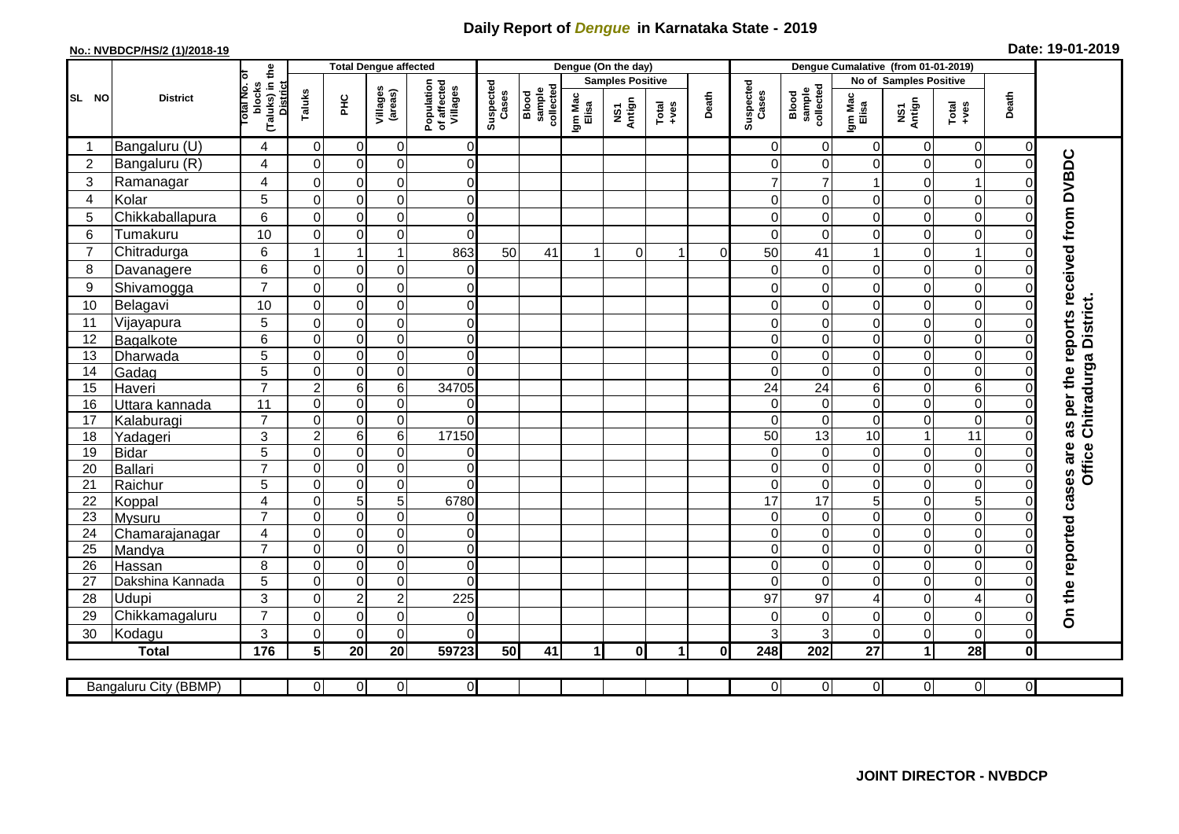## **Daily Report of** *Dengue* **in Karnataka State - 2019**

## **No.: NVBDCP/HS/2 (1)/2018-19**

|  |  | Date: 19-01-2019 |  |
|--|--|------------------|--|
|--|--|------------------|--|

|                |   |                       |                                                   |                               | <b>Total Dengue affected</b>        |                         |                                       |                    |                              |                         | Dengue (On the day) |                      |          |                    |                              | Dengue Cumalative (from 01-01-2019) |                                |                              |          |                                        |  |  |  |  |
|----------------|---|-----------------------|---------------------------------------------------|-------------------------------|-------------------------------------|-------------------------|---------------------------------------|--------------------|------------------------------|-------------------------|---------------------|----------------------|----------|--------------------|------------------------------|-------------------------------------|--------------------------------|------------------------------|----------|----------------------------------------|--|--|--|--|
|                | Б |                       |                                                   |                               |                                     |                         |                                       |                    |                              | <b>Samples Positive</b> |                     |                      |          |                    |                              |                                     |                                | No of Samples Positive       |          |                                        |  |  |  |  |
| SL NO          |   | <b>District</b>       | (Taluks) in the<br>District<br>otal No.<br>blocks | Taluks                        | ЭHС                                 | Villages<br>(areas)     | Population<br>of affected<br>Villages | Suspected<br>Cases | Blood<br>sample<br>collected | Igm Mac<br>Elisa        | NS1<br>Antign       | $Total$              | Death    | Suspected<br>Cases | collected<br>sample<br>Blood | Igm Mac<br>Elisa                    | NS1<br>Antign                  | Total<br>+ves                | Death    |                                        |  |  |  |  |
| -1             |   | Bangaluru (U)         | 4                                                 | $\overline{0}$                | 0                                   | 0                       | 0                                     |                    |                              |                         |                     |                      |          | 0                  | $\mathbf 0$                  | 0                                   | $\overline{0}$                 | 0                            | 0        |                                        |  |  |  |  |
| $\overline{2}$ |   | Bangaluru (R)         | 4                                                 | $\mathbf 0$                   | $\pmb{0}$                           | $\mathsf 0$             | $\overline{0}$                        |                    |                              |                         |                     |                      |          | $\Omega$           | $\mathbf 0$                  | 0                                   | $\pmb{0}$                      | $\boldsymbol{0}$             | $\Omega$ |                                        |  |  |  |  |
| 3              |   | Ramanagar             | 4                                                 | $\mathbf 0$                   | $\mathbf 0$                         | 0                       | $\overline{0}$                        |                    |                              |                         |                     |                      |          |                    | $\overline{7}$               | 1                                   | $\mathbf 0$                    | $\mathbf 1$                  |          |                                        |  |  |  |  |
| $\overline{4}$ |   | Kolar                 | 5                                                 | $\mathbf 0$                   | $\mathbf 0$                         | 0                       | $\overline{0}$                        |                    |                              |                         |                     |                      |          | $\Omega$           | 0                            | 0                                   | $\mathsf{O}\xspace$            | $\mathbf 0$                  |          | as per the reports received from DVBDC |  |  |  |  |
| 5              |   | Chikkaballapura       | 6                                                 | $\Omega$                      | $\mathbf 0$                         | 0                       | $\overline{0}$                        |                    |                              |                         |                     |                      |          | $\Omega$           | $\Omega$                     | $\Omega$                            | $\mathbf 0$                    | $\mathbf 0$                  |          |                                        |  |  |  |  |
| 6              |   | Tumakuru              | 10                                                | $\mathbf 0$                   | $\mathbf 0$                         | 0                       | $\mathbf 0$                           |                    |                              |                         |                     |                      |          | $\Omega$           | $\mathbf 0$                  | 0                                   | $\mathbf 0$                    | $\boldsymbol{0}$             |          |                                        |  |  |  |  |
| $\overline{7}$ |   | Chitradurga           | 6                                                 | $\overline{1}$                | $\overline{1}$                      | $\mathbf{1}$            | 863                                   | 50                 | 41                           | $\blacktriangleleft$    | $\Omega$            | -1                   | $\Omega$ | 50                 | 41                           | 1                                   | $\overline{0}$                 | $\overline{1}$               |          |                                        |  |  |  |  |
| 8              |   | Davanagere            | 6                                                 | $\Omega$                      | $\pmb{0}$                           | 0                       | 0                                     |                    |                              |                         |                     |                      |          | ∩                  | $\overline{0}$               | 0                                   | $\mathbf 0$                    | $\mathsf 0$                  |          |                                        |  |  |  |  |
| 9              |   | Shivamogga            | $\overline{7}$                                    | 0                             | 0                                   | 0                       | 0                                     |                    |                              |                         |                     |                      |          |                    | 0                            | 0                                   | 0                              | 0                            |          |                                        |  |  |  |  |
| 10             |   | Belagavi              | 10                                                | $\pmb{0}$                     | $\mathbf 0$                         | 0                       | $\overline{0}$                        |                    |                              |                         |                     |                      |          | 0                  | 0                            | 0                                   | $\pmb{0}$                      | $\boldsymbol{0}$             |          | Office Chitradurga District.           |  |  |  |  |
| 11             |   | Vijayapura            | 5                                                 | $\mathbf 0$                   | $\pmb{0}$                           | 0                       | $\overline{0}$                        |                    |                              |                         |                     |                      |          | $\Omega$           | $\Omega$                     | 0                                   | $\mathbf 0$                    | $\pmb{0}$                    |          |                                        |  |  |  |  |
| 12             |   | Bagalkote             | 6                                                 | $\mathbf 0$                   | $\mathbf 0$                         | 0                       | $\overline{0}$                        |                    |                              |                         |                     |                      |          | $\Omega$           | 0                            | 0                                   | $\overline{0}$                 | $\pmb{0}$                    | 0        |                                        |  |  |  |  |
| 13             |   | Dharwada              | 5                                                 | $\mathbf 0$                   | $\mathbf 0$                         | 0                       | $\Omega$                              |                    |                              |                         |                     |                      |          | $\Omega$           | $\Omega$                     | 0                                   | $\overline{0}$                 | $\pmb{0}$                    | $\Omega$ |                                        |  |  |  |  |
| 14             |   | Gadag                 | $\overline{5}$                                    | $\mathbf 0$                   | $\mathbf 0$                         | 0                       | $\Omega$                              |                    |                              |                         |                     |                      |          | $\Omega$           | $\Omega$                     | 0                                   | $\mathbf 0$                    | $\pmb{0}$                    |          |                                        |  |  |  |  |
| 15             |   | Haveri                | $\overline{7}$                                    | $\boldsymbol{2}$              | $\,6\,$                             | 6                       | 34705                                 |                    |                              |                         |                     |                      |          | 24                 | 24                           | 6                                   | $\overline{0}$                 | $\,6$                        |          |                                        |  |  |  |  |
| 16             |   | Uttara kannada        | 11                                                | $\mathbf 0$                   | 0                                   | 0                       | 0                                     |                    |                              |                         |                     |                      |          | $\Omega$           | $\mathbf 0$                  | 0                                   | $\mathbf 0$                    | $\boldsymbol{0}$             |          |                                        |  |  |  |  |
| 17             |   | Kalaburagi            | $\overline{7}$                                    | $\mathbf 0$                   | $\pmb{0}$                           | 0                       | $\overline{0}$                        |                    |                              |                         |                     |                      |          | $\Omega$           | $\mathbf 0$                  | 0                                   | $\pmb{0}$                      | $\boldsymbol{0}$             |          |                                        |  |  |  |  |
| 18<br>19       |   | Yadageri              | 3<br>$\overline{5}$                               | $\overline{c}$<br>$\mathbf 0$ | $6\phantom{1}6$<br>$\boldsymbol{0}$ | $\,6$<br>$\overline{0}$ | 17150<br>$\overline{0}$               |                    |                              |                         |                     |                      |          | 50<br>$\Omega$     | 13<br>$\mathbf 0$            | 10<br>0                             | $\mathbf{1}$<br>$\overline{0}$ | $\overline{11}$<br>$\pmb{0}$ |          |                                        |  |  |  |  |
| 20             |   | Bidar<br>Ballari      | $\overline{7}$                                    | $\mathbf 0$                   | $\boldsymbol{0}$                    | 0                       | $\overline{0}$                        |                    |                              |                         |                     |                      |          | $\Omega$           | $\mathbf 0$                  | 0                                   | $\overline{0}$                 | $\overline{0}$               |          |                                        |  |  |  |  |
| 21             |   | Raichur               | 5                                                 | $\Omega$                      | 0                                   | 0                       | $\Omega$                              |                    |                              |                         |                     |                      |          | $\Omega$           | 0                            | 0                                   | $\mathbf 0$                    | $\boldsymbol{0}$             | $\Omega$ |                                        |  |  |  |  |
| 22             |   | Koppal                | $\overline{4}$                                    | $\mathbf 0$                   | 5                                   | $\overline{5}$          | 6780                                  |                    |                              |                         |                     |                      |          | 17                 | 17                           | 5                                   | $\mathbf 0$                    | 5                            |          |                                        |  |  |  |  |
| 23             |   | Mysuru                | $\overline{7}$                                    | $\Omega$                      | $\pmb{0}$                           | 0                       | 0                                     |                    |                              |                         |                     |                      |          | $\Omega$           | 0                            | 0                                   | $\overline{0}$                 | $\boldsymbol{0}$             |          |                                        |  |  |  |  |
| 24             |   | Chamarajanagar        | 4                                                 | $\mathbf 0$                   | $\pmb{0}$                           | 0                       | 0                                     |                    |                              |                         |                     |                      |          | $\Omega$           | 0                            | 0                                   | $\overline{0}$                 | $\pmb{0}$                    |          |                                        |  |  |  |  |
| 25             |   | Mandya                | $\overline{7}$                                    | 0                             | 0                                   | $\mathbf 0$             | $\Omega$                              |                    |                              |                         |                     |                      |          | $\Omega$           | $\Omega$                     | 0                                   | $\mathbf 0$                    | $\boldsymbol{0}$             |          |                                        |  |  |  |  |
| 26             |   | Hassan                | 8                                                 | $\mathbf 0$                   | $\mathbf 0$                         | $\mathsf 0$             | $\overline{0}$                        |                    |                              |                         |                     |                      |          | 0                  | $\mathbf 0$                  | 0                                   | $\mathbf 0$                    | $\boldsymbol{0}$             |          |                                        |  |  |  |  |
| 27             |   | Dakshina Kannada      | 5                                                 | $\mathbf 0$                   | $\pmb{0}$                           | $\mathbf 0$             | $\Omega$                              |                    |                              |                         |                     |                      |          | $\Omega$           | $\Omega$                     | 0                                   | $\overline{0}$                 | $\mathbf 0$                  |          |                                        |  |  |  |  |
| 28             |   | Udupi                 | 3                                                 | $\Omega$                      | $\overline{2}$                      | $\boldsymbol{2}$        | 225                                   |                    |                              |                         |                     |                      |          | 97                 | 97                           | 4                                   | $\overline{0}$                 | $\overline{4}$               |          |                                        |  |  |  |  |
| 29             |   | Chikkamagaluru        | $\overline{7}$                                    | $\mathbf 0$                   | $\mathbf 0$                         | $\pmb{0}$               | $\overline{0}$                        |                    |                              |                         |                     |                      |          | $\Omega$           | $\boldsymbol{0}$             | 0                                   | $\mathbf 0$                    | $\mathbf 0$                  | 0        | On the reported cases are              |  |  |  |  |
| 30             |   | Kodagu                | 3                                                 | $\Omega$                      | $\mathbf 0$                         | $\pmb{0}$               | $\Omega$                              |                    |                              |                         |                     |                      |          | 3                  | $\mathbf{3}$                 | 0                                   | 0                              | $\mathbf 0$                  | 0        |                                        |  |  |  |  |
|                |   | <b>Total</b>          | 176                                               | 5                             | 20                                  | 20                      | 59723                                 | 50                 | 41                           | 1                       | $\mathbf{0}$        | $\blacktriangleleft$ | 0l       | 248                | 202                          | 27                                  | $\mathbf{1}$                   | 28                           | Οl       |                                        |  |  |  |  |
|                |   |                       |                                                   |                               |                                     |                         |                                       |                    |                              |                         |                     |                      |          |                    |                              |                                     |                                |                              |          |                                        |  |  |  |  |
|                |   | Bangaluru City (BBMP) |                                                   | $\overline{0}$                | $\mathbf 0$                         | $\overline{0}$          | $\overline{0}$                        |                    |                              |                         |                     |                      |          | 0                  | $\overline{0}$               | 0                                   | $\overline{0}$                 | $\overline{0}$               | ΟI       |                                        |  |  |  |  |